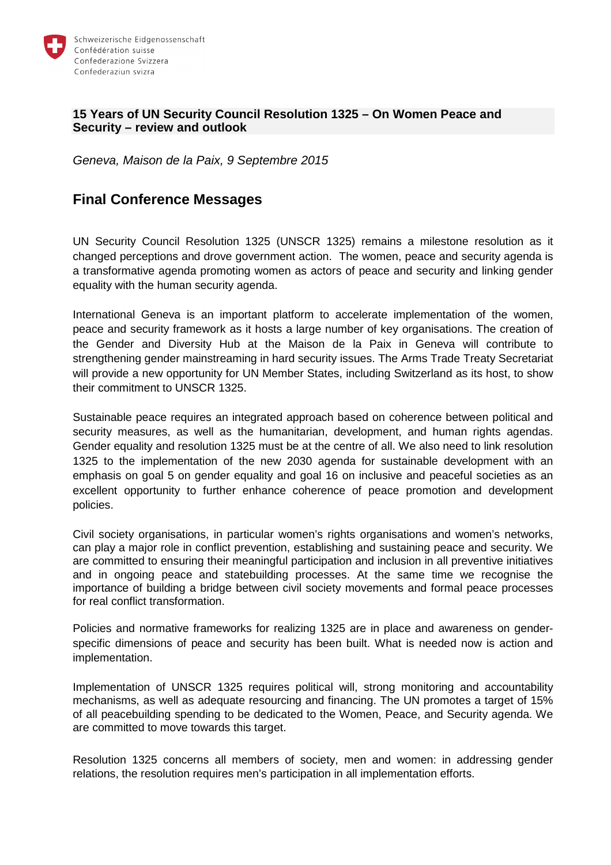

#### **15 Years of UN Security Council Resolution 1325 – On Women Peace and Security – review and outlook**

Geneva, Maison de la Paix, 9 Septembre 2015

# **Final Conference Messages**

UN Security Council Resolution 1325 (UNSCR 1325) remains a milestone resolution as it changed perceptions and drove government action. The women, peace and security agenda is a transformative agenda promoting women as actors of peace and security and linking gender equality with the human security agenda.

International Geneva is an important platform to accelerate implementation of the women, peace and security framework as it hosts a large number of key organisations. The creation of the Gender and Diversity Hub at the Maison de la Paix in Geneva will contribute to strengthening gender mainstreaming in hard security issues. The Arms Trade Treaty Secretariat will provide a new opportunity for UN Member States, including Switzerland as its host, to show their commitment to UNSCR 1325.

Sustainable peace requires an integrated approach based on coherence between political and security measures, as well as the humanitarian, development, and human rights agendas. Gender equality and resolution 1325 must be at the centre of all. We also need to link resolution 1325 to the implementation of the new 2030 agenda for sustainable development with an emphasis on goal 5 on gender equality and goal 16 on inclusive and peaceful societies as an excellent opportunity to further enhance coherence of peace promotion and development policies.

Civil society organisations, in particular women's rights organisations and women's networks, can play a major role in conflict prevention, establishing and sustaining peace and security. We are committed to ensuring their meaningful participation and inclusion in all preventive initiatives and in ongoing peace and statebuilding processes. At the same time we recognise the importance of building a bridge between civil society movements and formal peace processes for real conflict transformation.

Policies and normative frameworks for realizing 1325 are in place and awareness on genderspecific dimensions of peace and security has been built. What is needed now is action and implementation.

Implementation of UNSCR 1325 requires political will, strong monitoring and accountability mechanisms, as well as adequate resourcing and financing. The UN promotes a target of 15% of all peacebuilding spending to be dedicated to the Women, Peace, and Security agenda. We are committed to move towards this target.

Resolution 1325 concerns all members of society, men and women: in addressing gender relations, the resolution requires men's participation in all implementation efforts.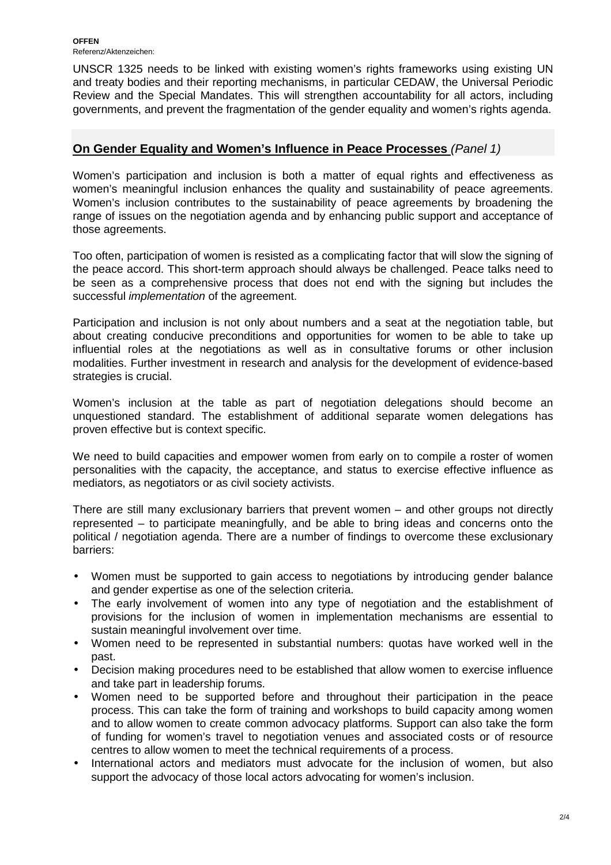**OFFEN**  Referenz/Aktenzeichen:

UNSCR 1325 needs to be linked with existing women's rights frameworks using existing UN and treaty bodies and their reporting mechanisms, in particular CEDAW, the Universal Periodic Review and the Special Mandates. This will strengthen accountability for all actors, including governments, and prevent the fragmentation of the gender equality and women's rights agenda.

## **On Gender Equality and Women's Influence in Peace Processes** (Panel 1)

Women's participation and inclusion is both a matter of equal rights and effectiveness as women's meaningful inclusion enhances the quality and sustainability of peace agreements. Women's inclusion contributes to the sustainability of peace agreements by broadening the range of issues on the negotiation agenda and by enhancing public support and acceptance of those agreements.

Too often, participation of women is resisted as a complicating factor that will slow the signing of the peace accord. This short-term approach should always be challenged. Peace talks need to be seen as a comprehensive process that does not end with the signing but includes the successful *implementation* of the agreement.

Participation and inclusion is not only about numbers and a seat at the negotiation table, but about creating conducive preconditions and opportunities for women to be able to take up influential roles at the negotiations as well as in consultative forums or other inclusion modalities. Further investment in research and analysis for the development of evidence-based strategies is crucial.

Women's inclusion at the table as part of negotiation delegations should become an unquestioned standard. The establishment of additional separate women delegations has proven effective but is context specific.

We need to build capacities and empower women from early on to compile a roster of women personalities with the capacity, the acceptance, and status to exercise effective influence as mediators, as negotiators or as civil society activists.

There are still many exclusionary barriers that prevent women – and other groups not directly represented – to participate meaningfully, and be able to bring ideas and concerns onto the political / negotiation agenda. There are a number of findings to overcome these exclusionary barriers:

- Women must be supported to gain access to negotiations by introducing gender balance and gender expertise as one of the selection criteria.
- The early involvement of women into any type of negotiation and the establishment of provisions for the inclusion of women in implementation mechanisms are essential to sustain meaningful involvement over time.
- Women need to be represented in substantial numbers: quotas have worked well in the past.
- Decision making procedures need to be established that allow women to exercise influence and take part in leadership forums.
- Women need to be supported before and throughout their participation in the peace process. This can take the form of training and workshops to build capacity among women and to allow women to create common advocacy platforms. Support can also take the form of funding for women's travel to negotiation venues and associated costs or of resource centres to allow women to meet the technical requirements of a process.
- International actors and mediators must advocate for the inclusion of women, but also support the advocacy of those local actors advocating for women's inclusion.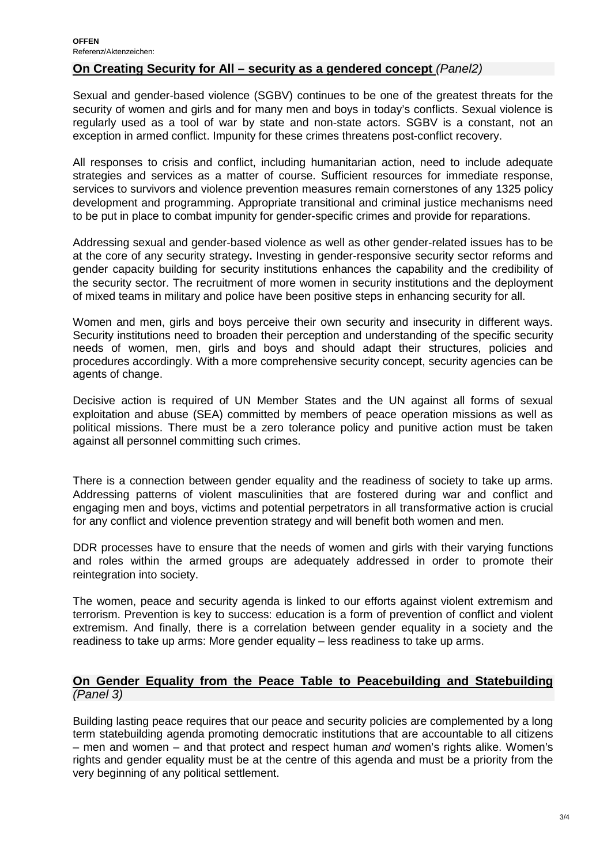### **On Creating Security for All – security as a gendered concept (Panel2)**

Sexual and gender-based violence (SGBV) continues to be one of the greatest threats for the security of women and girls and for many men and boys in today's conflicts. Sexual violence is regularly used as a tool of war by state and non-state actors. SGBV is a constant, not an exception in armed conflict. Impunity for these crimes threatens post-conflict recovery.

All responses to crisis and conflict, including humanitarian action, need to include adequate strategies and services as a matter of course. Sufficient resources for immediate response, services to survivors and violence prevention measures remain cornerstones of any 1325 policy development and programming. Appropriate transitional and criminal justice mechanisms need to be put in place to combat impunity for gender-specific crimes and provide for reparations.

Addressing sexual and gender-based violence as well as other gender-related issues has to be at the core of any security strategy**.** Investing in gender-responsive security sector reforms and gender capacity building for security institutions enhances the capability and the credibility of the security sector. The recruitment of more women in security institutions and the deployment of mixed teams in military and police have been positive steps in enhancing security for all.

Women and men, girls and boys perceive their own security and insecurity in different ways. Security institutions need to broaden their perception and understanding of the specific security needs of women, men, girls and boys and should adapt their structures, policies and procedures accordingly. With a more comprehensive security concept, security agencies can be agents of change.

Decisive action is required of UN Member States and the UN against all forms of sexual exploitation and abuse (SEA) committed by members of peace operation missions as well as political missions. There must be a zero tolerance policy and punitive action must be taken against all personnel committing such crimes.

There is a connection between gender equality and the readiness of society to take up arms. Addressing patterns of violent masculinities that are fostered during war and conflict and engaging men and boys, victims and potential perpetrators in all transformative action is crucial for any conflict and violence prevention strategy and will benefit both women and men.

DDR processes have to ensure that the needs of women and girls with their varying functions and roles within the armed groups are adequately addressed in order to promote their reintegration into society.

The women, peace and security agenda is linked to our efforts against violent extremism and terrorism. Prevention is key to success: education is a form of prevention of conflict and violent extremism. And finally, there is a correlation between gender equality in a society and the readiness to take up arms: More gender equality – less readiness to take up arms.

#### **On Gender Equality from the Peace Table to Peacebuilding and Statebuilding**  (Panel 3)

Building lasting peace requires that our peace and security policies are complemented by a long term statebuilding agenda promoting democratic institutions that are accountable to all citizens – men and women – and that protect and respect human and women's rights alike. Women's rights and gender equality must be at the centre of this agenda and must be a priority from the very beginning of any political settlement.